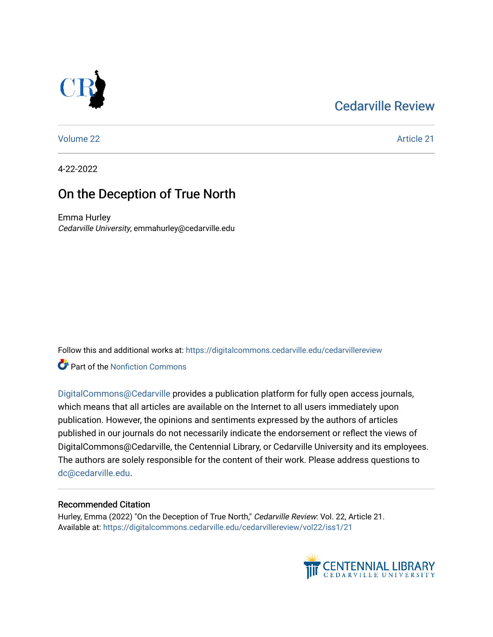## [Cedarville Review](https://digitalcommons.cedarville.edu/cedarvillereview)



[Volume 22](https://digitalcommons.cedarville.edu/cedarvillereview/vol22) Article 21

4-22-2022

## On the Deception of True North

Emma Hurley Cedarville University, emmahurley@cedarville.edu

Follow this and additional works at: [https://digitalcommons.cedarville.edu/cedarvillereview](https://digitalcommons.cedarville.edu/cedarvillereview?utm_source=digitalcommons.cedarville.edu%2Fcedarvillereview%2Fvol22%2Fiss1%2F21&utm_medium=PDF&utm_campaign=PDFCoverPages) 

**C** Part of the Nonfiction Commons

[DigitalCommons@Cedarville](http://digitalcommons.cedarville.edu/) provides a publication platform for fully open access journals, which means that all articles are available on the Internet to all users immediately upon publication. However, the opinions and sentiments expressed by the authors of articles published in our journals do not necessarily indicate the endorsement or reflect the views of DigitalCommons@Cedarville, the Centennial Library, or Cedarville University and its employees. The authors are solely responsible for the content of their work. Please address questions to [dc@cedarville.edu.](mailto:dc@cedarville.edu)

#### Recommended Citation

Hurley, Emma (2022) "On the Deception of True North," Cedarville Review: Vol. 22, Article 21. Available at: [https://digitalcommons.cedarville.edu/cedarvillereview/vol22/iss1/21](https://digitalcommons.cedarville.edu/cedarvillereview/vol22/iss1/21?utm_source=digitalcommons.cedarville.edu%2Fcedarvillereview%2Fvol22%2Fiss1%2F21&utm_medium=PDF&utm_campaign=PDFCoverPages)

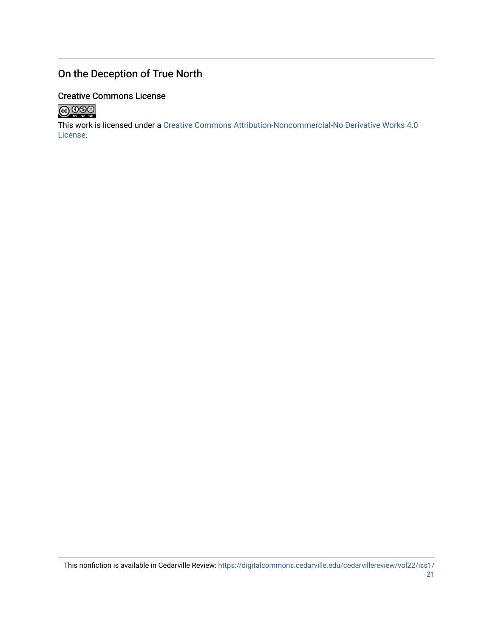### On the Deception of True North

#### Creative Commons License



This work is licensed under a [Creative Commons Attribution-Noncommercial-No Derivative Works 4.0](http://creativecommons.org/licenses/by-nc-nd/4.0/) [License](http://creativecommons.org/licenses/by-nc-nd/4.0/).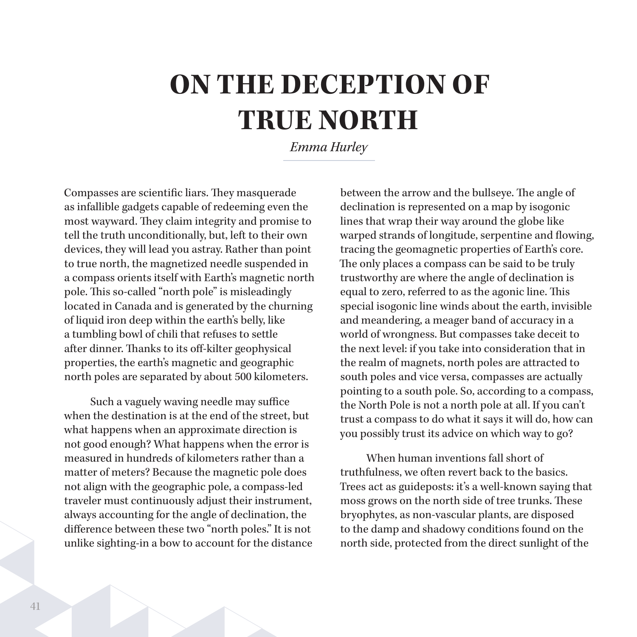# **ON THE DECEPTION OF TRUE NORTH**

*Emma Hurley*

Compasses are scientific liars. They masquerade as infallible gadgets capable of redeeming even the most wayward. They claim integrity and promise to tell the truth unconditionally, but, left to their own devices, they will lead you astray. Rather than point to true north, the magnetized needle suspended in a compass orients itself with Earth's magnetic north pole. This so-called "north pole" is misleadingly located in Canada and is generated by the churning of liquid iron deep within the earth's belly, like a tumbling bowl of chili that refuses to settle after dinner. Thanks to its off-kilter geophysical properties, the earth's magnetic and geographic north poles are separated by about 500 kilometers.

Such a vaguely waving needle may suffice when the destination is at the end of the street, but what happens when an approximate direction is not good enough? What happens when the error is measured in hundreds of kilometers rather than a matter of meters? Because the magnetic pole does not align with the geographic pole, a compass-led traveler must continuously adjust their instrument, always accounting for the angle of declination, the difference between these two "north poles." It is not unlike sighting-in a bow to account for the distance

between the arrow and the bullseye. The angle of declination is represented on a map by isogonic lines that wrap their way around the globe like warped strands of longitude, serpentine and flowing, tracing the geomagnetic properties of Earth's core. The only places a compass can be said to be truly trustworthy are where the angle of declination is equal to zero, referred to as the agonic line. This special isogonic line winds about the earth, invisible and meandering, a meager band of accuracy in a world of wrongness. But compasses take deceit to the next level: if you take into consideration that in the realm of magnets, north poles are attracted to south poles and vice versa, compasses are actually pointing to a south pole. So, according to a compass, the North Pole is not a north pole at all. If you can't trust a compass to do what it says it will do, how can you possibly trust its advice on which way to go?

When human inventions fall short of truthfulness, we often revert back to the basics. Trees act as guideposts: it's a well-known saying that moss grows on the north side of tree trunks. These bryophytes, as non-vascular plants, are disposed to the damp and shadowy conditions found on the north side, protected from the direct sunlight of the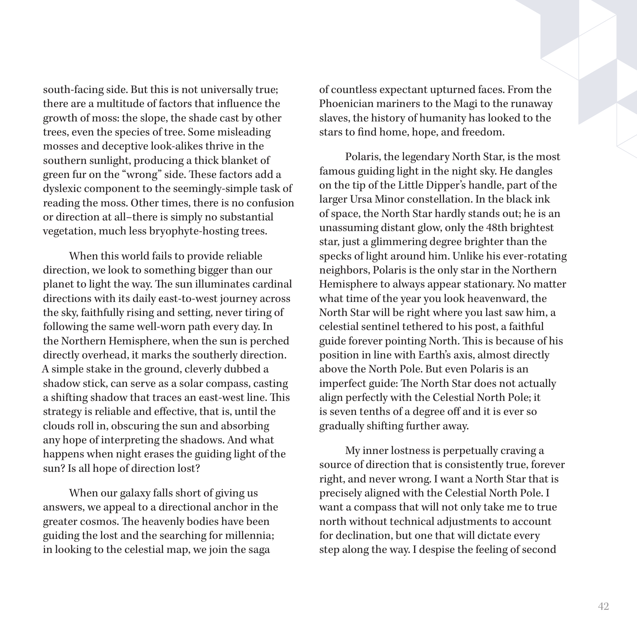south-facing side. But this is not universally true; there are a multitude of factors that influence the growth of moss: the slope, the shade cast by other trees, even the species of tree. Some misleading mosses and deceptive look-alikes thrive in the southern sunlight, producing a thick blanket of green fur on the "wrong" side. These factors add a dyslexic component to the seemingly-simple task of reading the moss. Other times, there is no confusion or direction at all–there is simply no substantial vegetation, much less bryophyte-hosting trees.

When this world fails to provide reliable direction, we look to something bigger than our planet to light the way. The sun illuminates cardinal directions with its daily east-to-west journey across the sky, faithfully rising and setting, never tiring of following the same well-worn path every day. In the Northern Hemisphere, when the sun is perched directly overhead, it marks the southerly direction. A simple stake in the ground, cleverly dubbed a shadow stick, can serve as a solar compass, casting a shifting shadow that traces an east-west line. This strategy is reliable and effective, that is, until the clouds roll in, obscuring the sun and absorbing any hope of interpreting the shadows. And what happens when night erases the guiding light of the sun? Is all hope of direction lost?

When our galaxy falls short of giving us answers, we appeal to a directional anchor in the greater cosmos. The heavenly bodies have been guiding the lost and the searching for millennia; in looking to the celestial map, we join the saga

of countless expectant upturned faces. From the Phoenician mariners to the Magi to the runaway slaves, the history of humanity has looked to the stars to find home, hope, and freedom.

Polaris, the legendary North Star, is the most famous guiding light in the night sky. He dangles on the tip of the Little Dipper's handle, part of the larger Ursa Minor constellation. In the black ink of space, the North Star hardly stands out; he is an unassuming distant glow, only the 48th brightest star, just a glimmering degree brighter than the specks of light around him. Unlike his ever-rotating neighbors, Polaris is the only star in the Northern Hemisphere to always appear stationary. No matter what time of the year you look heavenward, the North Star will be right where you last saw him, a celestial sentinel tethered to his post, a faithful guide forever pointing North. This is because of his position in line with Earth's axis, almost directly above the North Pole. But even Polaris is an imperfect guide: The North Star does not actually align perfectly with the Celestial North Pole; it is seven tenths of a degree off and it is ever so gradually shifting further away.

My inner lostness is perpetually craving a source of direction that is consistently true, forever right, and never wrong. I want a North Star that is precisely aligned with the Celestial North Pole. I want a compass that will not only take me to true north without technical adjustments to account for declination, but one that will dictate every step along the way. I despise the feeling of second